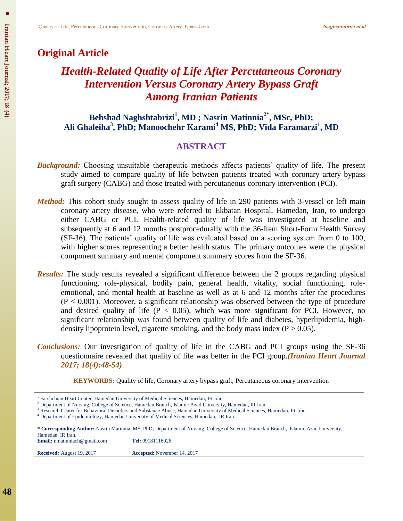# **Original Article**

# *Health-Related Quality of Life After Percutaneous Coronary Intervention Versus Coronary Artery Bypass Graft Among Iranian Patients*

# **Behshad Naghshtabrizi<sup>1</sup> , MD ; Nasrin Matinnia2\* , MSc, PhD; Ali Ghaleiha<sup>3</sup> , PhD; Manoochehr Karami<sup>4</sup> MS, PhD; Vida Faramarzi<sup>1</sup> , MD**

# **ABSTRACT**

- *Background:* Choosing unsuitable therapeutic methods affects patients' quality of life. The present study aimed to compare quality of life between patients treated with coronary artery bypass graft surgery (CABG) and those treated with percutaneous coronary intervention (PCI).
- *Method:* This cohort study sought to assess quality of life in 290 patients with 3-vessel or left main coronary artery disease, who were referred to Ekbatan Hospital, Hamedan, Iran, to undergo either CABG or PCI. Health-related quality of life was investigated at baseline and subsequently at 6 and 12 months postprocedurally with the 36-Item Short-Form Health Survey (SF-36). The patients' quality of life was evaluated based on a scoring system from 0 to 100, with higher scores representing a better health status. The primary outcomes were the physical component summary and mental component summary scores from the SF-36.
- *Results:* The study results revealed a significant difference between the 2 groups regarding physical functioning, role-physical, bodily pain, general health, vitality, social functioning, roleemotional, and mental health at baseline as well as at 6 and 12 months after the procedures  $(P < 0.001)$ . Moreover, a significant relationship was observed between the type of procedure and desired quality of life ( $P < 0.05$ ), which was more significant for PCI. However, no significant relationship was found between quality of life and diabetes, hyperlipidemia, highdensity lipoprotein level, cigarette smoking, and the body mass index ( $P > 0.05$ ).
- *Conclusions:* Our investigation of quality of life in the CABG and PCI groups using the SF-36 questionnaire revealed that quality of life was better in the PCI group.*(Iranian Heart Journal 2017; 18(4):48-54)*

**KEYWORDS:** Quality of life, Coronary artery bypass graft, Percutaneous coronary intervention

<sup>&</sup>lt;sup>1</sup> Farshchian Heart Center, Hamedan University of Medical Sciences, Hamedan, IR Iran.

<sup>2</sup> Department of Nursing, College of Science, Hamedan Branch, Islamic Azad University, Hamedan, IR Iran.

<sup>&</sup>lt;sup>3</sup> Research Center for Behavioral Disorders and Substance Abuse, Hamadan University of Medical Sciences, Hamedan, IR Iran.

<sup>4</sup> Department of Epidemiology, Hamedan University of Medical Sciences, Hamedan, IR Iran.

**<sup>\*</sup> Corresponding Author:** Nasrin Matinnia, MS, PhD; Department of Nursing, College of Science, Hamedan Branch, Islamic Azad University, Hamedan, IR Iran. **Email:** [nmatinniach@gmail.com](mailto:%20nmatinniach@gmail.com) **Tel:** 09181116026 **Received:** August 19, 2017 **Accepted:** November 14, 2017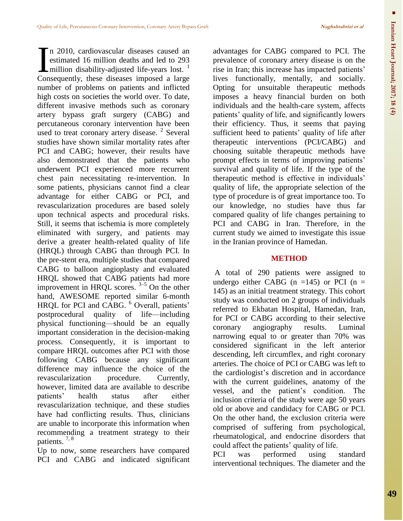L **Iranian Heart Journal; 2017; 18** Iranian Heart Journal; 2017; 18 (4)

n 2010, cardiovascular diseases caused an estimated 16 million deaths and led to 293 million disability-adjusted life-years lost.<sup>1</sup> In 2010, cardiovascular diseases caused an estimated 16 million deaths and led to 293 million disability-adjusted life-years lost.<sup>1</sup> Consequently, these diseases imposed a large number of problems on patients and inflicted high costs on societies the world over. To date, different invasive methods such as coronary artery bypass graft surgery (CABG) and percutaneous coronary intervention have been used to treat coronary artery disease.  $2$  Several studies have shown similar mortality rates after PCI and CABG; however, their results have also demonstrated that the patients who underwent PCI experienced more recurrent chest pain necessitating re-intervention. In some patients, physicians cannot find a clear advantage for either CABG or PCI, and revascularization procedures are based solely upon technical aspects and procedural risks. Still, it seems that ischemia is more completely eliminated with surgery, and patients may derive a greater health-related quality of life (HRQL) through CABG than through PCI. In the pre-stent era, multiple studies that compared CABG to balloon angioplasty and evaluated HRQL showed that CABG patients had more improvement in HRQL scores.  $3-5$  On the other hand, AWESOME reported similar 6-month HRQL for PCI and CABG. <sup>6</sup> Overall, patients' postprocedural quality of life—including physical functioning—should be an equally important consideration in the decision-making process. Consequently, it is important to compare HRQL outcomes after PCI with those following CABG because any significant difference may influence the choice of the revascularization procedure. Currently, however, limited data are available to describe patients' health status after either revascularization technique, and these studies have had conflicting results. Thus, clinicians are unable to incorporate this information when recommending a treatment strategy to their patients.<sup>7,8</sup>

Up to now, some researchers have compared PCI and CABG and indicated significant

advantages for CABG compared to PCI. The prevalence of coronary artery disease is on the rise in Iran; this increase has impacted patients' lives functionally, mentally, and socially. Opting for unsuitable therapeutic methods imposes a heavy financial burden on both individuals and the health-care system, affects patients' quality of life, and significantly lowers their efficiency. Thus, it seems that paying sufficient heed to patients' quality of life after therapeutic interventions (PCI/CABG) and choosing suitable therapeutic methods have prompt effects in terms of improving patients' survival and quality of life. If the type of the therapeutic method is effective in individuals' quality of life, the appropriate selection of the type of procedure is of great importance too. To our knowledge, no studies have thus far compared quality of life changes pertaining to PCI and CABG in Iran. Therefore, in the current study we aimed to investigate this issue in the Iranian province of Hamedan.

#### **METHOD**

A total of 290 patients were assigned to undergo either CABG (n =145) or PCI (n = 145) as an initial treatment strategy. This cohort study was conducted on 2 groups of individuals referred to Ekbatan Hospital, Hamedan, Iran, for PCI or CABG according to their selective coronary angiography results. Luminal narrowing equal to or greater than 70% was considered significant in the left anterior descending, left circumflex, and right coronary arteries. The choice of PCI or CABG was left to the cardiologist's discretion and in accordance with the current guidelines, anatomy of the vessel, and the patient's condition. The inclusion criteria of the study were age 50 years old or above and candidacy for CABG or PCI. On the other hand, the exclusion criteria were comprised of suffering from psychological, rheumatological, and endocrine disorders that could affect the patients' quality of life.

PCI was performed using standard interventional techniques. The diameter and the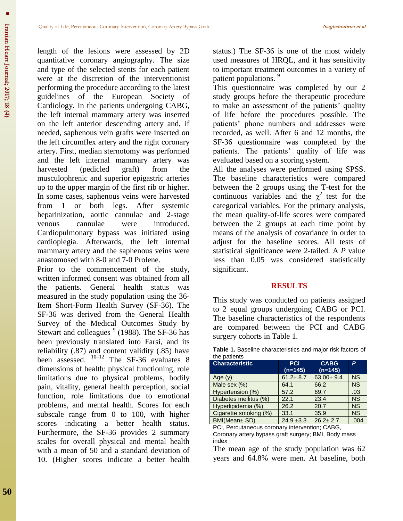length of the lesions were assessed by 2D quantitative coronary angiography. The size and type of the selected stents for each patient were at the discretion of the interventionist performing the procedure according to the latest guidelines of the European Society of Cardiology. In the patients undergoing CABG, the left internal mammary artery was inserted on the left anterior descending artery and, if needed, saphenous vein grafts were inserted on the left circumflex artery and the right coronary artery. First, median sternotomy was performed and the left internal mammary artery was harvested (pedicled graft) from the musculophrenic and superior epigastric arteries up to the upper margin of the first rib or higher. In some cases, saphenous veins were harvested from 1 or both legs. After systemic heparinization, aortic cannulae and 2-stage venous cannulae were introduced. Cardiopulmonary bypass was initiated using cardioplegia. Afterwards, the left internal mammary artery and the saphenous veins were anastomosed with 8-0 and 7-0 Prolene.

Prior to the commencement of the study, written informed consent was obtained from all the patients. General health status was measured in the study population using the 36- Item Short-Form Health Survey (SF-36). The SF-36 was derived from the General Health Survey of the Medical Outcomes Study by Stewart and colleagues <sup>9</sup> (1988). The SF-36 has been previously translated into Farsi, and its reliability (.87) and content validity (.85) have been assessed. 10–12 The SF-36 evaluates 8 dimensions of health: physical functioning, role limitations due to physical problems, bodily pain, vitality, general health perception, social function, role limitations due to emotional problems, and mental health. Scores for each subscale range from 0 to 100, with higher scores indicating a better health status. Furthermore, the SF-36 provides 2 summary scales for overall physical and mental health with a mean of 50 and a standard deviation of 10. (Higher scores indicate a better health

status.) The SF-36 is one of the most widely used measures of HRQL, and it has sensitivity to important treatment outcomes in a variety of patient populations.<sup>9</sup>

This questionnaire was completed by our 2 study groups before the therapeutic procedure to make an assessment of the patients' quality of life before the procedures possible. The patients' phone numbers and addresses were recorded, as well. After 6 and 12 months, the SF-36 questionnaire was completed by the patients. The patients' quality of life was evaluated based on a scoring system.

All the analyses were performed using SPSS. The baseline characteristics were compared between the 2 groups using the T-test for the continuous variables and the  $\chi^2$  test for the categorical variables. For the primary analysis, the mean quality-of-life scores were compared between the 2 groups at each time point by means of the analysis of covariance in order to adjust for the baseline scores. All tests of statistical significance were 2-tailed. A *P* value less than 0.05 was considered statistically significant.

#### **RESULTS**

This study was conducted on patients assigned to 2 equal groups undergoing CABG or PCI. The baseline characteristics of the respondents are compared between the PCI and CABG surgery cohorts in Table 1.

| <b>Characteristic</b> | <b>PCI</b><br>$(n=145)$ | <b>CABG</b><br>$(n=145)$ | P         |
|-----------------------|-------------------------|--------------------------|-----------|
| Age $(y)$             | $61.2 \pm 8.7$          | $63.00 \pm 9.4$          | <b>NS</b> |
| Male sex (%)          | 64.1                    | 66.2                     | <b>NS</b> |
| Hypertension (%)      | 57.2                    | 69.7                     | .03       |
| Diabetes mellitus (%) | 22.1                    | 23.4                     | <b>NS</b> |
| Hyperlipidemia (%)    | 26.2                    | 20.7                     | <b>NS</b> |
| Cigarette smoking (%) | 33.1                    | 35.9                     | <b>NS</b> |
| BMI(Mean± SD)         | $24.9 \pm 3.3$          | $26.2 \pm 2.7$           | .004      |

**Table 1.** Baseline characteristics and major risk factors of the patients

PCI, Percutaneous coronary intervention; CABG, Coronary artery bypass graft surgery; BMI, Body mass index

The mean age of the study population was 62 years and 64.8% were men. At baseline, both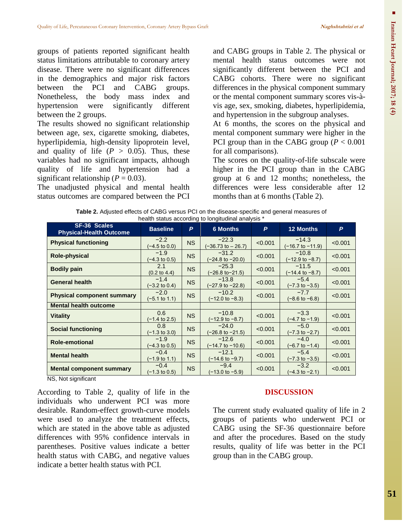groups of patients reported significant health status limitations attributable to coronary artery disease. There were no significant differences in the demographics and major risk factors between the PCI and CABG groups. Nonetheless, the body mass index and hypertension were significantly different between the 2 groups.

The results showed no significant relationship between age, sex, cigarette smoking, diabetes, hyperlipidemia, high-density lipoprotein level, and quality of life  $(P > 0.05)$ . Thus, these variables had no significant impacts, although quality of life and hypertension had a significant relationship ( $P = 0.03$ ).

The unadjusted physical and mental health status outcomes are compared between the PCI

and CABG groups in Table 2. The physical or mental health status outcomes were not significantly different between the PCI and CABG cohorts. There were no significant differences in the physical component summary or the mental component summary scores vis-àvis age, sex, smoking, diabetes, hyperlipidemia, and hypertension in the subgroup analyses.

At 6 months, the scores on the physical and mental component summary were higher in the PCI group than in the CABG group  $(P < 0.001$ for all comparisons).

The scores on the quality-of-life subscale were higher in the PCI group than in the CABG group at 6 and 12 months; nonetheless, the differences were less considerable after 12 months than at 6 months (Table 2).

| Table 2. Adjusted effects of CABG versus PCI on the disease-specific and general measures of |  |
|----------------------------------------------------------------------------------------------|--|
| health status according to longitudinal analysis *                                           |  |

| health status according to longitudinal analysis * |                                    |           |                                         |         |                                       |         |  |  |  |  |
|----------------------------------------------------|------------------------------------|-----------|-----------------------------------------|---------|---------------------------------------|---------|--|--|--|--|
| SF-36 Scales<br><b>Physical-Health Outcome</b>     | <b>Baseline</b>                    | P.        | <b>6 Months</b>                         | P       | <b>12 Months</b>                      | P       |  |  |  |  |
| <b>Physical functioning</b>                        | $-2.2$<br>$(-4.5 \text{ to } 0.0)$ | <b>NS</b> | $-22.3$<br>$(-36.73 \text{ to } -26.7)$ | < 0.001 | $-14.3$<br>$(-16.7 to -11.9)$         | < 0.001 |  |  |  |  |
| <b>Role-physical</b>                               | $-1.9$<br>$(-4.3 \text{ to } 0.5)$ | <b>NS</b> | $-31.2$<br>$(-24.8 \text{ to } -20.0)$  | < 0.001 | $-10.8$<br>$(-12.9 \text{ to } -8.7)$ | < 0.001 |  |  |  |  |
| <b>Bodily pain</b>                                 | 2.1<br>$(0.2 \text{ to } 4.4)$     | <b>NS</b> | $-25.3$<br>$(-26.8 \text{ to} -21.5)$   | < 0.001 | $-11.5$<br>$(-14.4 \text{ to } -8.7)$ | < 0.001 |  |  |  |  |
| <b>General health</b>                              | $-1.4$<br>$(-3.2 \text{ to } 0.4)$ | <b>NS</b> | $-13.8$<br>(-27.9 to -22.8)             | < 0.001 | $-5.4$<br>$(-7.3 \text{ to } -3.5)$   | < 0.001 |  |  |  |  |
| <b>Physical component summary</b>                  | $-2.0$<br>$(-5.1 \text{ to } 1.1)$ | <b>NS</b> | $-10.2$<br>$(-12.0 \text{ to } -8.3)$   | < 0.001 | $-7.7$<br>$(-8.6 \text{ to } -6.8)$   | < 0.001 |  |  |  |  |
| <b>Mental health outcome</b>                       |                                    |           |                                         |         |                                       |         |  |  |  |  |
| <b>Vitality</b>                                    | 0.6<br>(-1.4 to 2.5)               | <b>NS</b> | $-10.8$<br>$(-12.9 \text{ to } -8.7)$   | < 0.001 | $-3.3$<br>(−4.7 to −1.9)              | < 0.001 |  |  |  |  |
| <b>Social functioning</b>                          | 0.8<br>$(-1.3 \text{ to } 3.0)$    | <b>NS</b> | $-24.0$<br>$(-26.8 \text{ to } -21.5)$  | < 0.001 | $-5.0$<br>$(-7.3 \text{ to } -2.7)$   | < 0.001 |  |  |  |  |
| <b>Role-emotional</b>                              | $-1.9$<br>$(-4.3 \text{ to } 0.5)$ | <b>NS</b> | $-12.6$<br>$(-14.7 \text{ to } -10.6)$  | < 0.001 | $-4.0$<br>$(-6.7 \text{ to } -1.4)$   | < 0.001 |  |  |  |  |
| <b>Mental health</b>                               | $-0.4$<br>$(-1.9 \text{ to } 1.1)$ | <b>NS</b> | $-12.1$<br>$(-14.6 \text{ to } -9.7)$   | < 0.001 | $-5.4$<br>$(-7.3 \text{ to } -3.5)$   | < 0.001 |  |  |  |  |
| <b>Mental component summary</b>                    | $-0.4$<br>$(-1.3 \text{ to } 0.5)$ | <b>NS</b> | $-9.4$<br>$(-13.0 \text{ to } -5.9)$    | < 0.001 | $-3.2$<br>$(-4.3 \text{ to } -2.1)$   | < 0.001 |  |  |  |  |

NS, Not significant

According to Table 2, quality of life in the individuals who underwent PCI was more desirable. Random-effect growth-curve models were used to analyze the treatment effects, which are stated in the above table as adjusted differences with 95% confidence intervals in parentheses. Positive values indicate a better health status with CABG, and negative values indicate a better health status with PCI.

### **DISCUSSION**

The current study evaluated quality of life in 2 groups of patients who underwent PCI or CABG using the SF-36 questionnaire before and after the procedures. Based on the study results, quality of life was better in the PCI group than in the CABG group.

п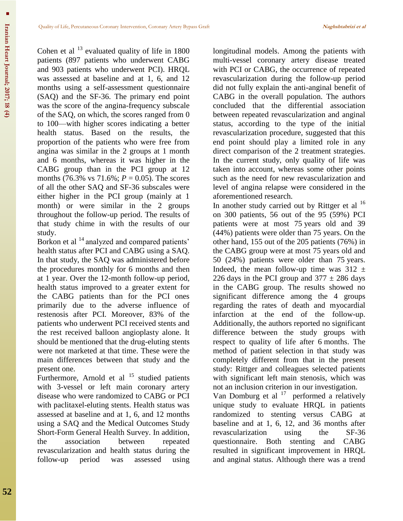Cohen et al  $^{13}$  evaluated quality of life in 1800 patients (897 patients who underwent CABG and 903 patients who underwent PCI). HRQL was assessed at baseline and at 1, 6, and 12 months using a self-assessment questionnaire (SAQ) and the SF-36. The primary end point was the score of the angina-frequency subscale of the SAQ, on which, the scores ranged from 0 to 100—with higher scores indicating a better health status. Based on the results, the proportion of the patients who were free from angina was similar in the 2 groups at 1 month and 6 months, whereas it was higher in the CABG group than in the PCI group at 12 months (76.3% vs 71.6%; *P* = 0.05). The scores of all the other SAQ and SF-36 subscales were either higher in the PCI group (mainly at 1 month) or were similar in the 2 groups throughout the follow-up period. The results of that study chime in with the results of our study.

Borkon et al <sup>14</sup> analyzed and compared patients' health status after PCI and CABG using a SAQ. In that study, the SAQ was administered before the procedures monthly for 6 months and then at 1 year. Over the 12-month follow-up period, health status improved to a greater extent for the CABG patients than for the PCI ones primarily due to the adverse influence of restenosis after PCI. Moreover, 83% of the patients who underwent PCI received stents and the rest received balloon angioplasty alone. It should be mentioned that the drug-eluting stents were not marketed at that time. These were the main differences between that study and the present one.

Furthermore, Arnold et al <sup>15</sup> studied patients with 3-vessel or left main coronary artery disease who were randomized to CABG or PCI with paclitaxel-eluting stents. Health status was assessed at baseline and at 1, 6, and 12 months using a SAQ and the Medical Outcomes Study Short-Form General Health Survey. In addition, the association between repeated revascularization and health status during the follow-up period was assessed using

longitudinal models. Among the patients with multi-vessel coronary artery disease treated with PCI or CABG, the occurrence of repeated revascularization during the follow-up period did not fully explain the anti-anginal benefit of CABG in the overall population. The authors concluded that the differential association between repeated revascularization and anginal status, according to the type of the initial revascularization procedure, suggested that this end point should play a limited role in any direct comparison of the 2 treatment strategies. In the current study, only quality of life was taken into account, whereas some other points such as the need for new revascularization and level of angina relapse were considered in the aforementioned research.

In another study carried out by Rittger et al  $16$ on 300 patients, 56 out of the 95 (59%) PCI patients were at most 75 years old and 39 (44%) patients were older than 75 years. On the other hand, 155 out of the 205 patients (76%) in the CABG group were at most 75 years old and 50 (24%) patients were older than 75 years. Indeed, the mean follow-up time was  $312 \pm$ 226 days in the PCI group and  $377 \pm 286$  days in the CABG group. The results showed no significant difference among the 4 groups regarding the rates of death and myocardial infarction at the end of the follow-up. Additionally, the authors reported no significant difference between the study groups with respect to quality of life after 6 months. The method of patient selection in that study was completely different from that in the present study: Rittger and colleagues selected patients with significant left main stenosis, which was not an inclusion criterion in our investigation.

Van Domburg et al  $17$  performed a relatively unique study to evaluate HRQL in patients randomized to stenting versus CABG at baseline and at 1, 6, 12, and 36 months after revascularization using the SF-36 questionnaire. Both stenting and CABG resulted in significant improvement in HRQL and anginal status. Although there was a trend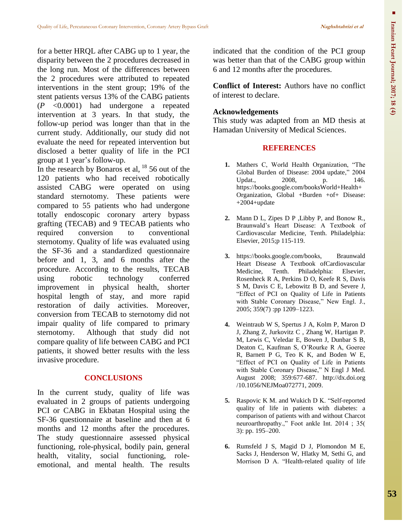for a better HRQL after CABG up to 1 year, the disparity between the 2 procedures decreased in the long run. Most of the differences between the 2 procedures were attributed to repeated interventions in the stent group; 19% of the stent patients versus 13% of the CABG patients (*P* <0.0001) had undergone a repeated intervention at 3 years. In that study, the follow-up period was longer than that in the current study. Additionally, our study did not evaluate the need for repeated intervention but disclosed a better quality of life in the PCI group at 1 year's follow-up.

In the research by Bonaros et al,  $^{18}$  56 out of the 120 patients who had received robotically assisted CABG were operated on using standard sternotomy. These patients were compared to 55 patients who had undergone totally endoscopic coronary artery bypass grafting (TECAB) and 9 TECAB patients who required conversion to conventional sternotomy. Quality of life was evaluated using the SF-36 and a standardized questionnaire before and 1, 3, and 6 months after the procedure. According to the results, TECAB using robotic technology conferred improvement in physical health, shorter hospital length of stay, and more rapid restoration of daily activities. Moreover, conversion from TECAB to sternotomy did not impair quality of life compared to primary sternotomy. Although that study did not compare quality of life between CABG and PCI patients, it showed better results with the less invasive procedure.

## **CONCLUSIONS**

In the current study, quality of life was evaluated in 2 groups of patients undergoing PCI or CABG in Ekbatan Hospital using the SF-36 questionnaire at baseline and then at 6 months and 12 months after the procedures. The study questionnaire assessed physical functioning, role-physical, bodily pain, general health, vitality, social functioning, roleemotional, and mental health. The results

indicated that the condition of the PCI group was better than that of the CABG group within 6 and 12 months after the procedures.

**Conflict of Interest:** Authors have no conflict of interest to declare.

## **Acknowledgements**

This study was adapted from an MD thesis at Hamadan University of Medical Sciences.

### **REFERENCES**

- **1.** [Mathers](https://scholar.google.com/citations?user=qlhV1WcAAAAJ&hl=en&oi=sra) C, World Health Organization, "The Global Burden of Disease: 2004 update," 2004 Updat., 2008, p. 146. https://books.google.com/booksWorld+Health+ Organization, Global +Burden +of+ Disease:  $+2004+update$
- **2.** Mann D L, Zipes D P ,Libby P, and Bonow R., Braunwald's Heart Disease: A Textbook of Cardiovascular Medicine, Tenth. Philadelphia: Elsevier, 2015;p 115-119.
- **3.** https://books.google.com/books, Braunwald Heart Disease A Textbook ofCardiovascular Medicine, Tenth. Philadelphia: Elsevier, Rosenheck R A, Perkins D O, Keefe R S, Davis S M, Davis C E, Lebowitz B D, and Severe J, "Effect of PCI on Quality of Life in Patients with Stable Coronary Disease," New Engl. J., 2005; 359(7) :pp 1209–1223.
- **4.** Weintraub W S, Spertus J A, Kolm P, Maron D J, Zhang Z, Jurkovitz C , Zhang W, Hartigan P. M, Lewis C, Veledar E, Bowen J, Dunbar S B, Deaton C, Kaufman S, O'Rourke R A, Goeree R, Barnett P G, Teo K K, and Boden W E, "Effect of PCI on Quality of Life in Patients with Stable Coronary Disease," N Engl J Med. August 2008; 359:677-687. http://dx.doi.org /10.1056/NEJMoa072771, 2009.
- **5.** Raspovic K M. and Wukich D K. "Self-reported quality of life in patients with diabetes: a comparison of patients with and without Charcot neuroarthropathy.," Foot ankle Int. 2014 ; 35( 3): pp. 195–200.
- **6.** Rumsfeld J S, Magid D J, Plomondon M E, Sacks J, Henderson W, Hlatky M, Sethi G, and Morrison D A. "Health-related quality of life